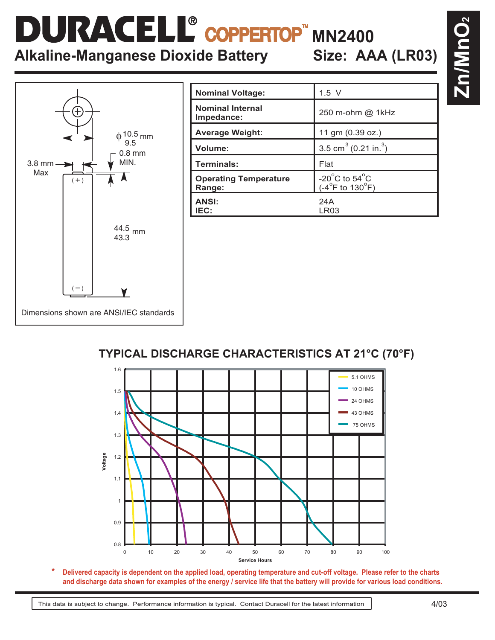## COPPERTOP<sup>"</sup> MN2400 **Alkaline-Manganese Dioxide Battery Size: AAA (LR03)**

Dimensions shown are ANSI/IEC standards  $\stackrel{\scriptstyle +}{\scriptstyle +} \frac{10.5}{\scriptstyle 9.5}$ mm 0.8 mm MIN.  $\frac{44.5}{10.8}$  mm 43.3 3.8 mm Max  $( + )$  $(-)$ 

| <b>Nominal Voltage:</b>                | $1.5$ V                                                                         |
|----------------------------------------|---------------------------------------------------------------------------------|
| <b>Nominal Internal</b><br>Impedance:  | 250 m-ohm @ 1kHz                                                                |
| <b>Average Weight:</b>                 | 11 gm (0.39 oz.)                                                                |
| Volume:                                | 3.5 cm <sup>3</sup> (0.21 in. <sup>3</sup> )                                    |
| Terminals:                             | Flat                                                                            |
| <b>Operating Temperature</b><br>Range: | -20 $^{\circ}$ C to 54 $^{\circ}$ C<br>$(-4^{\circ}F \text{ to } 130^{\circ}F)$ |
| <b>ANSI:</b><br>IEC:                   | 24A<br>LR03                                                                     |

## **TYPICAL DISCHARGE CHARACTERISTICS AT 21°C (70°F)**



**Delivered capacity is dependent on the applied load, operating temperature and cut-off voltage. Please refer to the charts and discharge data shown for examples of the energy / service life that the battery will provide for various load conditions. \***